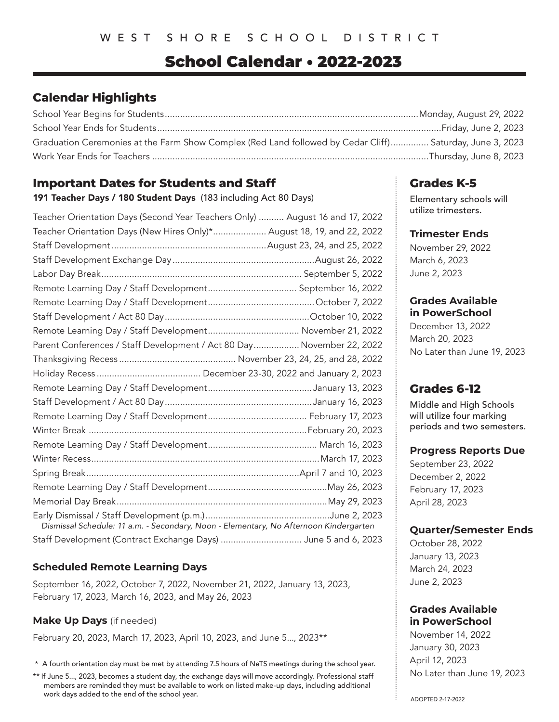# School Calendar • 2022-2023

# **Calendar Highlights**

| Graduation Ceremonies at the Farm Show Complex (Red Land followed by Cedar Cliff) Saturday, June 3, 2023 |  |
|----------------------------------------------------------------------------------------------------------|--|
|                                                                                                          |  |

# **Important Dates for Students and Staff**

191 Teacher Days / 180 Student Days (183 including Act 80 Days)

| Teacher Orientation Days (Second Year Teachers Only)  August 16 and 17, 2022          |
|---------------------------------------------------------------------------------------|
| Teacher Orientation Days (New Hires Only)* August 18, 19, and 22, 2022                |
|                                                                                       |
|                                                                                       |
|                                                                                       |
|                                                                                       |
|                                                                                       |
|                                                                                       |
|                                                                                       |
| Parent Conferences / Staff Development / Act 80 Day November 22, 2022                 |
|                                                                                       |
|                                                                                       |
|                                                                                       |
|                                                                                       |
|                                                                                       |
|                                                                                       |
|                                                                                       |
|                                                                                       |
|                                                                                       |
|                                                                                       |
|                                                                                       |
| Dismissal Schedule: 11 a.m. - Secondary, Noon - Elementary, No Afternoon Kindergarten |
| Staff Development (Contract Exchange Days)  June 5 and 6, 2023                        |

# **Scheduled Remote Learning Days**

September 16, 2022, October 7, 2022, November 21, 2022, January 13, 2023, February 17, 2023, March 16, 2023, and May 26, 2023

# **Make Up Days** (if needed)

February 20, 2023, March 17, 2023, April 10, 2023, and June 5..., 2023\*\*

\* A fourth orientation day must be met by attending 7.5 hours of NeTS meetings during the school year.

\*\* If June 5..., 2023, becomes a student day, the exchange days will move accordingly. Professional staff members are reminded they must be available to work on listed make-up days, including additional work days added to the end of the school year.

# **Grades K-5**

Elementary schools will utilize trimesters.

### **Trimester Ends**

November 29, 2022 March 6, 2023 June 2, 2023

#### **Grades Available in PowerSchool**

December 13, 2022 March 20, 2023 No Later than June 19, 2023

# **Grades 6-12**

Middle and High Schools will utilize four marking periods and two semesters.

#### **Progress Reports Due**

September 23, 2022 December 2, 2022 February 17, 2023 April 28, 2023

# **Quarter/Semester Ends**

October 28, 2022 January 13, 2023 March 24, 2023 June 2, 2023

# **Grades Available in PowerSchool**

November 14, 2022 January 30, 2023 April 12, 2023 No Later than June 19, 2023